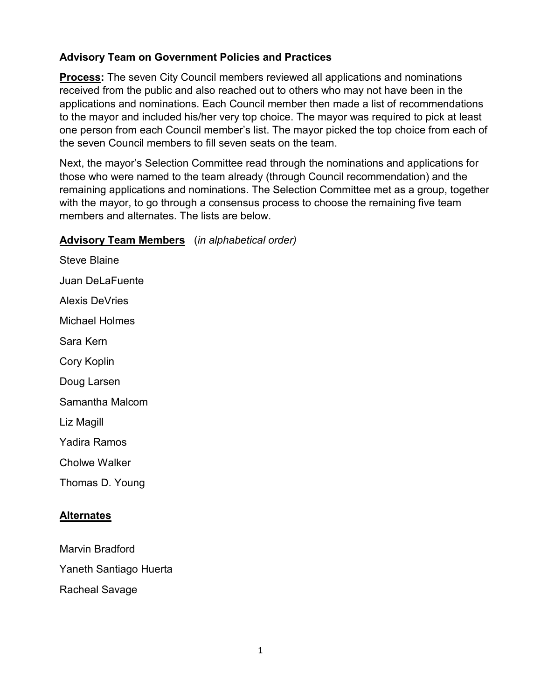### **Advisory Team on Government Policies and Practices**

**Process:** The seven City Council members reviewed all applications and nominations received from the public and also reached out to others who may not have been in the applications and nominations. Each Council member then made a list of recommendations to the mayor and included his/her very top choice. The mayor was required to pick at least one person from each Council member's list. The mayor picked the top choice from each of the seven Council members to fill seven seats on the team.

Next, the mayor's Selection Committee read through the nominations and applications for those who were named to the team already (through Council recommendation) and the remaining applications and nominations. The Selection Committee met as a group, together with the mayor, to go through a consensus process to choose the remaining five team members and alternates. The lists are below.

#### **Advisory Team Members** (*in alphabetical order)*

Steve Blaine Juan DeLaFuente Alexis DeVries Michael Holmes Sara Kern Cory Koplin Doug Larsen Samantha Malcom Liz Magill Yadira Ramos Cholwe Walker Thomas D. Young

### **Alternates**

Marvin Bradford Yaneth Santiago Huerta Racheal Savage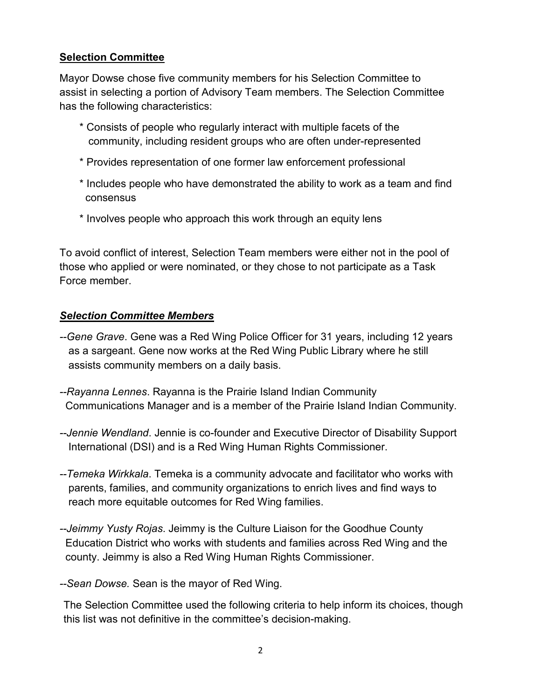## **Selection Committee**

Mayor Dowse chose five community members for his Selection Committee to assist in selecting a portion of Advisory Team members. The Selection Committee has the following characteristics:

- \* Consists of people who regularly interact with multiple facets of the community, including resident groups who are often under-represented
- \* Provides representation of one former law enforcement professional
- \* Includes people who have demonstrated the ability to work as a team and find consensus
- \* Involves people who approach this work through an equity lens

To avoid conflict of interest, Selection Team members were either not in the pool of those who applied or were nominated, or they chose to not participate as a Task Force member.

### *Selection Committee Members*

- *--Gene Grave*. Gene was a Red Wing Police Officer for 31 years, including 12 years as a sargeant. Gene now works at the Red Wing Public Library where he still assists community members on a daily basis.
- *--Rayanna Lennes*. Rayanna is the Prairie Island Indian Community Communications Manager and is a member of the Prairie Island Indian Community.
- *--Jennie Wendland*. Jennie is co-founder and Executive Director of Disability Support International (DSI) and is a Red Wing Human Rights Commissioner.
- *--Temeka Wirkkala*. Temeka is a community advocate and facilitator who works with parents, families, and community organizations to enrich lives and find ways to reach more equitable outcomes for Red Wing families.
- *--Jeimmy Yusty Rojas*. Jeimmy is the Culture Liaison for the Goodhue County Education District who works with students and families across Red Wing and the county. Jeimmy is also a Red Wing Human Rights Commissioner.
- *--Sean Dowse.* Sean is the mayor of Red Wing.

The Selection Committee used the following criteria to help inform its choices, though this list was not definitive in the committee's decision-making.